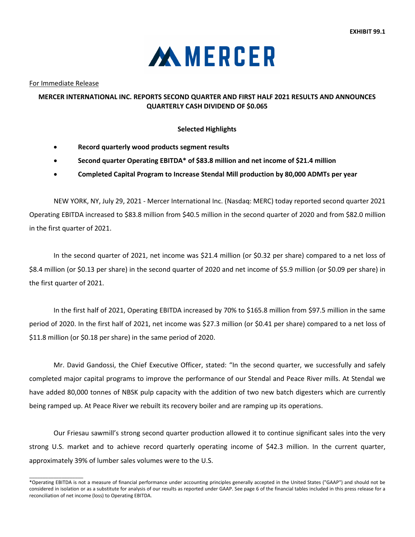

For Immediate Release

 $\_$ 

## **MERCER INTERNATIONAL INC. REPORTS SECOND QUARTER AND FIRST HALF 2021 RESULTS AND ANNOUNCES QUARTERLY CASH DIVIDEND OF \$0.065**

### **Selected Highlights**

- **Record quarterly wood products segment results**
- **Second quarter Operating EBITDA\* of \$83.8 million and net income of \$21.4 million**
- **Completed Capital Program to Increase Stendal Mill production by 80,000 ADMTs per year**

NEW YORK, NY, July 29, 2021 - Mercer International Inc. (Nasdaq: MERC) today reported second quarter 2021 Operating EBITDA increased to \$83.8 million from \$40.5 million in the second quarter of 2020 and from \$82.0 million in the first quarter of 2021.

In the second quarter of 2021, net income was \$21.4 million (or \$0.32 per share) compared to a net loss of \$8.4 million (or \$0.13 per share) in the second quarter of 2020 and net income of \$5.9 million (or \$0.09 per share) in the first quarter of 2021.

In the first half of 2021, Operating EBITDA increased by 70% to \$165.8 million from \$97.5 million in the same period of 2020. In the first half of 2021, net income was \$27.3 million (or \$0.41 per share) compared to a net loss of \$11.8 million (or \$0.18 per share) in the same period of 2020.

Mr. David Gandossi, the Chief Executive Officer, stated: "In the second quarter, we successfully and safely completed major capital programs to improve the performance of our Stendal and Peace River mills. At Stendal we have added 80,000 tonnes of NBSK pulp capacity with the addition of two new batch digesters which are currently being ramped up. At Peace River we rebuilt its recovery boiler and are ramping up its operations.

Our Friesau sawmill's strong second quarter production allowed it to continue significant sales into the very strong U.S. market and to achieve record quarterly operating income of \$42.3 million. In the current quarter, approximately 39% of lumber sales volumes were to the U.S.

<sup>\*</sup>Operating EBITDA is not a measure of financial performance under accounting principles generally accepted in the United States ("GAAP") and should not be considered in isolation or as a substitute for analysis of our results as reported under GAAP. See page 6 of the financial tables included in this press release for a reconciliation of net income (loss) to Operating EBITDA.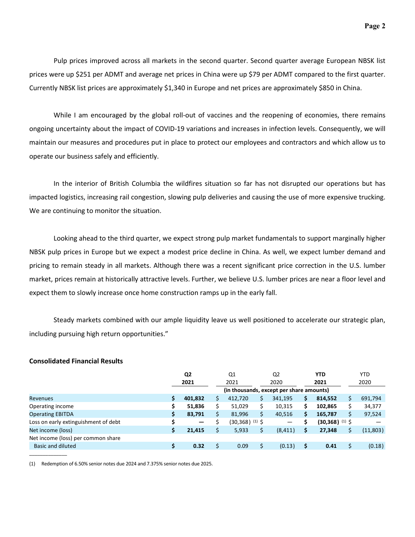Pulp prices improved across all markets in the second quarter. Second quarter average European NBSK list prices were up \$251 per ADMT and average net prices in China were up \$79 per ADMT compared to the first quarter. Currently NBSK list prices are approximately \$1,340 in Europe and net prices are approximately \$850 in China.

While I am encouraged by the global roll-out of vaccines and the reopening of economies, there remains ongoing uncertainty about the impact of COVID-19 variations and increases in infection levels. Consequently, we will maintain our measures and procedures put in place to protect our employees and contractors and which allow us to operate our business safely and efficiently.

In the interior of British Columbia the wildfires situation so far has not disrupted our operations but has impacted logistics, increasing rail congestion, slowing pulp deliveries and causing the use of more expensive trucking. We are continuing to monitor the situation.

Looking ahead to the third quarter, we expect strong pulp market fundamentals to support marginally higher NBSK pulp prices in Europe but we expect a modest price decline in China. As well, we expect lumber demand and pricing to remain steady in all markets. Although there was a recent significant price correction in the U.S. lumber market, prices remain at historically attractive levels. Further, we believe U.S. lumber prices are near a floor level and expect them to slowly increase once home construction ramps up in the early fall.

Steady markets combined with our ample liquidity leave us well positioned to accelerate our strategic plan, including pursuing high return opportunities."

#### **Consolidated Financial Results**

|                                      |    | Q <sub>2</sub>                           |  | Q <sub>1</sub>      |  | Q <sub>2</sub> |    | <b>YTD</b>                   |  | <b>YTD</b> |
|--------------------------------------|----|------------------------------------------|--|---------------------|--|----------------|----|------------------------------|--|------------|
|                                      |    | 2021                                     |  | 2021                |  | 2020           |    | 2021                         |  | 2020       |
|                                      |    | (in thousands, except per share amounts) |  |                     |  |                |    |                              |  |            |
| <b>Revenues</b>                      | Ş. | 401,832                                  |  | 412,720             |  | 341,195        | \$ | 814,552                      |  | 691,794    |
| Operating income                     | \$ | 51,836                                   |  | 51,029              |  | 10,315         | \$ | 102,865                      |  | 34,377     |
| <b>Operating EBITDA</b>              | \$ | 83,791                                   |  | 81,996              |  | 40,516         | \$ | 165,787                      |  | 97,524     |
| Loss on early extinguishment of debt | \$ | -                                        |  | $(30,368)^{(1)}$ \$ |  |                |    | $(30,368)$ <sup>(1)</sup> \$ |  |            |
| Net income (loss)                    | \$ | 21,415                                   |  | 5,933               |  | (8, 411)       | \$ | 27,348                       |  | (11,803)   |
| Net income (loss) per common share   |    |                                          |  |                     |  |                |    |                              |  |            |
| Basic and diluted                    | \$ | 0.32                                     |  | 0.09                |  | (0.13)         | \$ | 0.41                         |  | (0.18)     |
|                                      |    |                                          |  |                     |  |                |    |                              |  |            |

(1) Redemption of 6.50% senior notes due 2024 and 7.375% senior notes due 2025.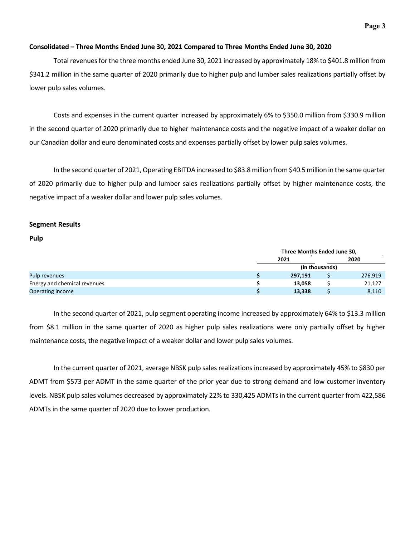#### **Consolidated – Three Months Ended June 30, 2021 Compared to Three Months Ended June 30, 2020**

Total revenues for the three months ended June 30, 2021 increased by approximately 18% to \$401.8 million from \$341.2 million in the same quarter of 2020 primarily due to higher pulp and lumber sales realizations partially offset by lower pulp sales volumes.

Costs and expenses in the current quarter increased by approximately 6% to \$350.0 million from \$330.9 million in the second quarter of 2020 primarily due to higher maintenance costs and the negative impact of a weaker dollar on our Canadian dollar and euro denominated costs and expenses partially offset by lower pulp sales volumes.

In the second quarter of 2021, Operating EBITDA increased to \$83.8 million from \$40.5 million in the same quarter of 2020 primarily due to higher pulp and lumber sales realizations partially offset by higher maintenance costs, the negative impact of a weaker dollar and lower pulp sales volumes.

### **Segment Results**

#### **Pulp**

|                              | Three Months Ended June 30, |                |         |  |  |  |
|------------------------------|-----------------------------|----------------|---------|--|--|--|
|                              | 2021                        |                | 2020    |  |  |  |
|                              |                             | (in thousands) |         |  |  |  |
| Pulp revenues                | 297,191                     |                | 276,919 |  |  |  |
| Energy and chemical revenues | 13,058                      |                |         |  |  |  |
| Operating income             | 13,338                      |                | 8,110   |  |  |  |

In the second quarter of 2021, pulp segment operating income increased by approximately 64% to \$13.3 million from \$8.1 million in the same quarter of 2020 as higher pulp sales realizations were only partially offset by higher maintenance costs, the negative impact of a weaker dollar and lower pulp sales volumes.

In the current quarter of 2021, average NBSK pulp sales realizations increased by approximately 45% to \$830 per ADMT from \$573 per ADMT in the same quarter of the prior year due to strong demand and low customer inventory levels. NBSK pulp sales volumes decreased by approximately 22% to 330,425 ADMTs in the current quarter from 422,586 ADMTs in the same quarter of 2020 due to lower production.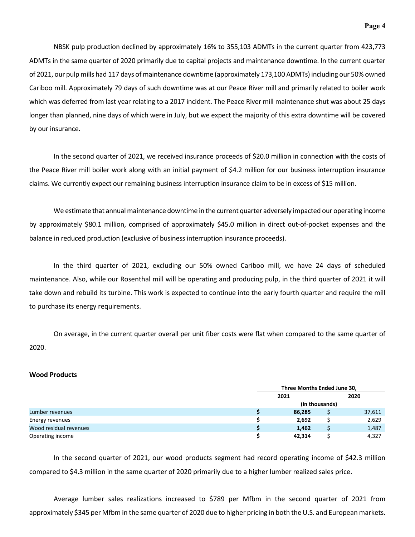NBSK pulp production declined by approximately 16% to 355,103 ADMTs in the current quarter from 423,773 ADMTs in the same quarter of 2020 primarily due to capital projects and maintenance downtime. In the current quarter of 2021, our pulp mills had 117 days of maintenance downtime (approximately 173,100 ADMTs) including our 50% owned Cariboo mill. Approximately 79 days of such downtime was at our Peace River mill and primarily related to boiler work which was deferred from last year relating to a 2017 incident. The Peace River mill maintenance shut was about 25 days longer than planned, nine days of which were in July, but we expect the majority of this extra downtime will be covered by our insurance.

In the second quarter of 2021, we received insurance proceeds of \$20.0 million in connection with the costs of the Peace River mill boiler work along with an initial payment of \$4.2 million for our business interruption insurance claims. We currently expect our remaining business interruption insurance claim to be in excess of \$15 million.

We estimate that annual maintenance downtime in the current quarter adversely impacted our operating income by approximately \$80.1 million, comprised of approximately \$45.0 million in direct out-of-pocket expenses and the balance in reduced production (exclusive of business interruption insurance proceeds).

In the third quarter of 2021, excluding our 50% owned Cariboo mill, we have 24 days of scheduled maintenance. Also, while our Rosenthal mill will be operating and producing pulp, in the third quarter of 2021 it will take down and rebuild its turbine. This work is expected to continue into the early fourth quarter and require the mill to purchase its energy requirements.

On average, in the current quarter overall per unit fiber costs were flat when compared to the same quarter of 2020.

#### **Wood Products**

|                        | Three Months Ended June 30, |                |        |  |  |  |
|------------------------|-----------------------------|----------------|--------|--|--|--|
|                        | 2021                        |                |        |  |  |  |
|                        |                             | (in thousands) |        |  |  |  |
| Lumber revenues        | 86,285                      |                | 37,611 |  |  |  |
| Energy revenues        | 2,692                       |                | 2,629  |  |  |  |
| Wood residual revenues | 1,462                       |                | 1,487  |  |  |  |
| Operating income       | 42,314                      |                | 4,327  |  |  |  |

In the second quarter of 2021, our wood products segment had record operating income of \$42.3 million compared to \$4.3 million in the same quarter of 2020 primarily due to a higher lumber realized sales price.

Average lumber sales realizations increased to \$789 per Mfbm in the second quarter of 2021 from approximately \$345 per Mfbm in the same quarter of 2020 due to higher pricing in both the U.S. and European markets.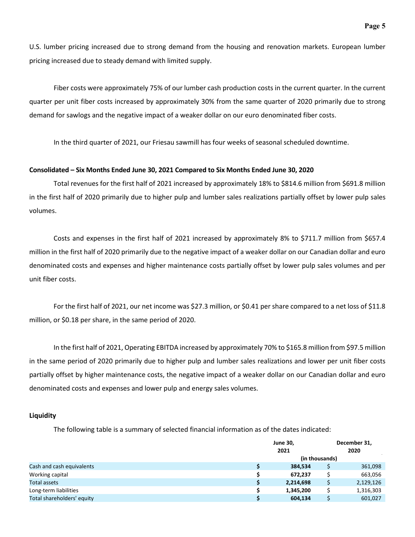**Page 5**

U.S. lumber pricing increased due to strong demand from the housing and renovation markets. European lumber pricing increased due to steady demand with limited supply.

Fiber costs were approximately 75% of our lumber cash production costs in the current quarter. In the current quarter per unit fiber costs increased by approximately 30% from the same quarter of 2020 primarily due to strong demand for sawlogs and the negative impact of a weaker dollar on our euro denominated fiber costs.

In the third quarter of 2021, our Friesau sawmill has four weeks of seasonal scheduled downtime.

### **Consolidated – Six Months Ended June 30, 2021 Compared to Six Months Ended June 30, 2020**

Total revenues for the first half of 2021 increased by approximately 18% to \$814.6 million from \$691.8 million in the first half of 2020 primarily due to higher pulp and lumber sales realizations partially offset by lower pulp sales volumes.

Costs and expenses in the first half of 2021 increased by approximately 8% to \$711.7 million from \$657.4 million in the first half of 2020 primarily due to the negative impact of a weaker dollar on our Canadian dollar and euro denominated costs and expenses and higher maintenance costs partially offset by lower pulp sales volumes and per unit fiber costs.

For the first half of 2021, our net income was \$27.3 million, or \$0.41 per share compared to a net loss of \$11.8 million, or \$0.18 per share, in the same period of 2020.

In the first half of 2021, Operating EBITDA increased by approximately 70% to \$165.8 million from \$97.5 million in the same period of 2020 primarily due to higher pulp and lumber sales realizations and lower per unit fiber costs partially offset by higher maintenance costs, the negative impact of a weaker dollar on our Canadian dollar and euro denominated costs and expenses and lower pulp and energy sales volumes.

### **Liquidity**

The following table is a summary of selected financial information as of the dates indicated:

|                            |   | <b>June 30,</b><br>2021 | December 31,<br>2020 |
|----------------------------|---|-------------------------|----------------------|
|                            |   | (in thousands)          |                      |
| Cash and cash equivalents  |   | 384,534                 | 361,098              |
| Working capital            |   | 672.237                 | 663,056              |
| <b>Total assets</b>        |   | 2,214,698               | 2,129,126            |
| Long-term liabilities      | S | 1,345,200               | 1,316,303            |
| Total shareholders' equity |   | 604,134                 | 601,027              |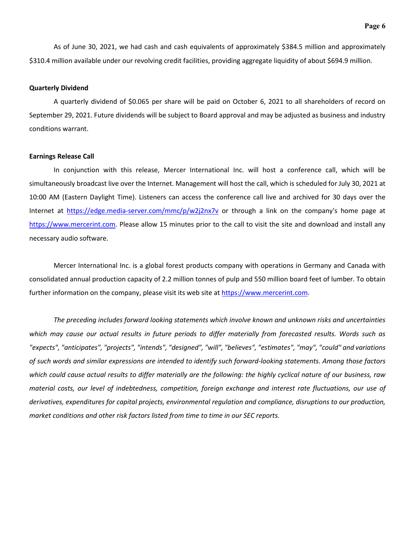As of June 30, 2021, we had cash and cash equivalents of approximately \$384.5 million and approximately \$310.4 million available under our revolving credit facilities, providing aggregate liquidity of about \$694.9 million.

#### **Quarterly Dividend**

A quarterly dividend of \$0.065 per share will be paid on October 6, 2021 to all shareholders of record on September 29, 2021. Future dividends will be subject to Board approval and may be adjusted as business and industry conditions warrant.

#### **Earnings Release Call**

In conjunction with this release, Mercer International Inc. will host a conference call, which will be simultaneously broadcast live over the Internet. Management will host the call, which is scheduled for July 30, 2021 at 10:00 AM (Eastern Daylight Time). Listeners can access the conference call live and archived for 30 days over the Internet at<https://edge.media-server.com/mmc/p/w2j2nx7v> or through a link on the company's home page at [https://www.mercerint.com.](https://www.mercerint.com/) Please allow 15 minutes prior to the call to visit the site and download and install any necessary audio software.

Mercer International Inc. is a global forest products company with operations in Germany and Canada with consolidated annual production capacity of 2.2 million tonnes of pulp and 550 million board feet of lumber. To obtain further information on the company, please visit its web site at [https://www.mercerint.com.](https://www.mercerint.com/)

*The preceding includes forward looking statements which involve known and unknown risks and uncertainties*  which may cause our actual results in future periods to differ materially from forecasted results. Words such as *"expects", "anticipates", "projects", "intends", "designed", "will", "believes", "estimates", "may", "could" and variations of such words and similar expressions are intended to identify such forward-looking statements. Among those factors which could cause actual results to differ materially are the following: the highly cyclical nature of our business, raw material costs, our level of indebtedness, competition, foreign exchange and interest rate fluctuations, our use of derivatives, expenditures for capital projects, environmental regulation and compliance, disruptions to our production, market conditions and other risk factors listed from time to time in our SEC reports.*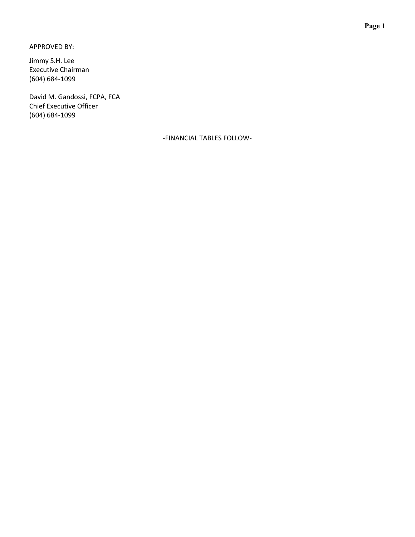APPROVED BY:

Jimmy S.H. Lee Executive Chairman (604) 684-1099

David M. Gandossi, FCPA, FCA Chief Executive Officer (604) 684-1099

-FINANCIAL TABLES FOLLOW-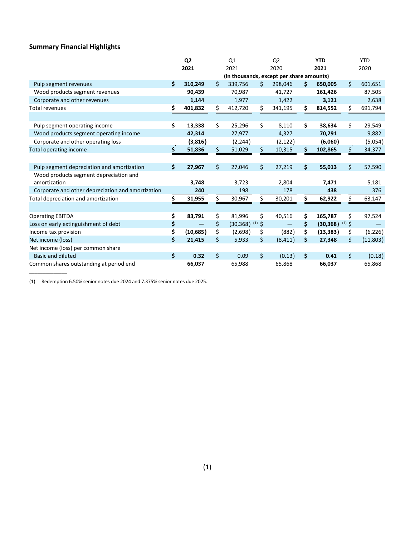# **Summary Financial Highlights**

|                                                   |     | Q <sub>2</sub> |                    | Q1                                       |          | Q <sub>2</sub> | <b>YTD</b>                         |    | <b>YTD</b> |
|---------------------------------------------------|-----|----------------|--------------------|------------------------------------------|----------|----------------|------------------------------------|----|------------|
|                                                   |     | 2021           |                    | 2021                                     |          | 2020           | 2021                               |    | 2020       |
|                                                   |     |                |                    | (in thousands, except per share amounts) |          |                |                                    |    |            |
| Pulp segment revenues                             | Ś.  | 310,249        | Ś.                 | 339,756                                  | Ŝ.       | 298,046        | \$<br>650,005                      | Ś. | 601,651    |
| Wood products segment revenues                    |     | 90,439         |                    | 70,987                                   |          | 41,727         | 161,426                            |    | 87,505     |
| Corporate and other revenues                      |     | 1,144          |                    | 1,977                                    |          | 1,422          | 3,121                              |    | 2,638      |
| <b>Total revenues</b>                             | \$  | 401,832        |                    | 412,720                                  | \$       | 341,195        | \$<br>814,552                      |    | 691,794    |
|                                                   |     |                |                    |                                          |          |                |                                    |    |            |
| Pulp segment operating income                     | \$  | 13,338         | \$                 | 25,296                                   | Ś.       | 8,110          | \$<br>38,634                       | \$ | 29,549     |
| Wood products segment operating income            |     | 42,314         |                    | 27,977                                   |          | 4,327          | 70,291                             |    | 9,882      |
| Corporate and other operating loss                |     | (3,816)        |                    | (2, 244)                                 |          | (2, 122)       | (6,060)                            |    | (5,054)    |
| <b>Total operating income</b>                     | \$. | 51,836         | \$.                | 51,029                                   | \$       | 10,315         | \$<br>102,865                      | Ś. | 34,377     |
|                                                   |     |                |                    |                                          |          |                |                                    |    |            |
| Pulp segment depreciation and amortization        | \$  | 27,967         | \$                 | 27,046                                   | \$       | 27,219         | \$<br>55,013                       | \$ | 57,590     |
| Wood products segment depreciation and            |     |                |                    |                                          |          |                |                                    |    |            |
| amortization                                      |     | 3,748          |                    | 3,723                                    |          | 2,804          | 7,471                              |    | 5,181      |
| Corporate and other depreciation and amortization |     | 240            |                    | 198                                      |          | 178            | 438                                |    | 376        |
| Total depreciation and amortization               | \$  | 31,955         | \$                 | 30,967                                   | \$       | 30,201         | \$<br>62,922                       |    | 63,147     |
|                                                   |     |                |                    |                                          |          |                |                                    |    |            |
| <b>Operating EBITDA</b>                           | \$  | 83,791         | \$                 | 81,996                                   | \$       | 40,516         | \$<br>165,787                      | \$ | 97,524     |
| Loss on early extinguishment of debt              | \$  |                | \$                 | (30, 368)                                | $(1)$ \$ |                | \$<br>$(30,368)$ <sup>(1)</sup> \$ |    |            |
| Income tax provision                              | \$  | (10, 685)      | \$                 | (2,698)                                  | \$       | (882)          | \$<br>(13, 383)                    | \$ | (6, 226)   |
| Net income (loss)                                 | \$  | 21,415         | \$                 | 5,933                                    | \$.      | (8, 411)       | \$<br>27,348                       | \$ | (11,803)   |
| Net income (loss) per common share                |     |                |                    |                                          |          |                |                                    |    |            |
| <b>Basic and diluted</b>                          | Ś.  | 0.32           | $\mathsf{\dot{S}}$ | 0.09                                     | Ŝ.       | (0.13)         | \$<br>0.41                         | Ś. | (0.18)     |
| Common shares outstanding at period end           |     | 66,037         |                    | 65,988                                   |          | 65,868         | 66,037                             |    | 65,868     |

(1) Redemption 6.50% senior notes due 2024 and 7.375% senior notes due 2025.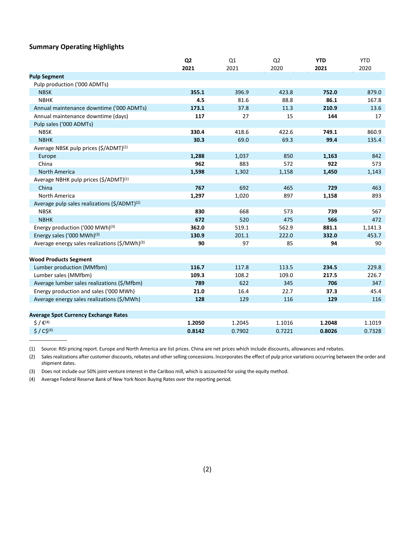### **Summary Operating Highlights**

\_\_\_\_\_\_\_\_\_\_\_\_\_\_

|                                                           | Q <sub>2</sub> | Q1     | Q <sub>2</sub> | <b>YTD</b> | <b>YTD</b> |
|-----------------------------------------------------------|----------------|--------|----------------|------------|------------|
|                                                           | 2021           | 2021   | 2020           | 2021       | 2020       |
| <b>Pulp Segment</b>                                       |                |        |                |            |            |
| Pulp production ('000 ADMTs)                              |                |        |                |            |            |
| <b>NBSK</b>                                               | 355.1          | 396.9  | 423.8          | 752.0      | 879.0      |
| <b>NBHK</b>                                               | 4.5            | 81.6   | 88.8           | 86.1       | 167.8      |
| Annual maintenance downtime ('000 ADMTs)                  | 173.1          | 37.8   | 11.3           | 210.9      | 13.6       |
| Annual maintenance downtime (days)                        | 117            | 27     | 15             | 144        | 17         |
| Pulp sales ('000 ADMTs)                                   |                |        |                |            |            |
| <b>NBSK</b>                                               | 330.4          | 418.6  | 422.6          | 749.1      | 860.9      |
| <b>NBHK</b>                                               | 30.3           | 69.0   | 69.3           | 99.4       | 135.4      |
| Average NBSK pulp prices (\$/ADMT) <sup>(1)</sup>         |                |        |                |            |            |
| Europe                                                    | 1,288          | 1,037  | 850            | 1,163      | 842        |
| China                                                     | 962            | 883    | 572            | 922        | 573        |
| <b>North America</b>                                      | 1,598          | 1,302  | 1,158          | 1,450      | 1,143      |
| Average NBHK pulp prices (\$/ADMT) <sup>(1)</sup>         |                |        |                |            |            |
| China                                                     | 767            | 692    | 465            | 729        | 463        |
| North America                                             | 1,297          | 1,020  | 897            | 1,158      | 893        |
| Average pulp sales realizations (\$/ADMT) <sup>(2)</sup>  |                |        |                |            |            |
| <b>NBSK</b>                                               | 830            | 668    | 573            | 739        | 567        |
| <b>NBHK</b>                                               | 672            | 520    | 475            | 566        | 472        |
| Energy production ('000 MWh) <sup>(3)</sup>               | 362.0          | 519.1  | 562.9          | 881.1      | 1,141.3    |
| Energy sales ('000 MWh) <sup>(3)</sup>                    | 130.9          | 201.1  | 222.0          | 332.0      | 453.7      |
| Average energy sales realizations (\$/MWh) <sup>(3)</sup> | 90             | 97     | 85             | 94         | 90         |
|                                                           |                |        |                |            |            |
| <b>Wood Products Segment</b>                              |                |        |                |            |            |
| Lumber production (MMfbm)                                 | 116.7          | 117.8  | 113.5          | 234.5      | 229.8      |
| Lumber sales (MMfbm)                                      | 109.3          | 108.2  | 109.0          | 217.5      | 226.7      |
| Average lumber sales realizations (\$/Mfbm)               | 789            | 622    | 345            | 706        | 347        |
| Energy production and sales ('000 MWh)                    | 21.0           | 16.4   | 22.7           | 37.3       | 45.4       |
| Average energy sales realizations (\$/MWh)                | 128            | 129    | 116            | 129        | 116        |
|                                                           |                |        |                |            |            |
| <b>Average Spot Currency Exchange Rates</b>               |                |        |                |            |            |
| $\zeta / \varepsilon^{(4)}$                               | 1.2050         | 1.2045 | 1.1016         | 1.2048     | 1.1019     |
| $$ / C$^{(4)}$                                            | 0.8142         | 0.7902 | 0.7221         | 0.8026     | 0.7328     |

(1) Source: RISI pricing report. Europe and North America are list prices. China are net prices which include discounts, allowances and rebates.

(2) Sales realizations after customer discounts, rebates and other selling concessions. Incorporates the effect of pulp price variations occurring between the order and shipment dates.

(3) Does not include our 50% joint venture interest in the Cariboo mill, which is accounted for using the equity method.

(4) Average Federal Reserve Bank of New York Noon Buying Rates over the reporting period.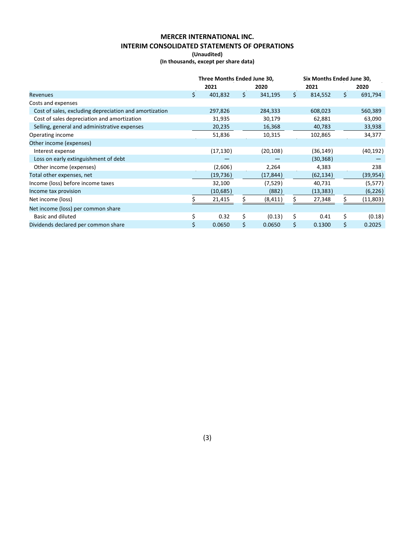# **MERCER INTERNATIONAL INC. INTERIM CONSOLIDATED STATEMENTS OF OPERATIONS**

**(Unaudited)**

**(In thousands, except per share data)**

|                                                        | Three Months Ended June 30, |           |     |           |         | Six Months Ended June 30, |    |           |  |  |
|--------------------------------------------------------|-----------------------------|-----------|-----|-----------|---------|---------------------------|----|-----------|--|--|
|                                                        |                             | 2021      |     | 2020      |         | 2021                      |    | 2020      |  |  |
| Revenues                                               | \$                          | 401,832   | \$. | 341,195   | $\zeta$ | 814,552                   | \$ | 691,794   |  |  |
| Costs and expenses                                     |                             |           |     |           |         |                           |    |           |  |  |
| Cost of sales, excluding depreciation and amortization |                             | 297,826   |     | 284,333   |         | 608,023                   |    | 560,389   |  |  |
| Cost of sales depreciation and amortization            |                             | 31,935    |     | 30,179    |         | 62,881                    |    | 63,090    |  |  |
| Selling, general and administrative expenses           |                             | 20,235    |     | 16,368    |         | 40,783                    |    | 33,938    |  |  |
| Operating income                                       |                             | 51,836    |     | 10,315    |         | 102,865                   |    | 34,377    |  |  |
| Other income (expenses)                                |                             |           |     |           |         |                           |    |           |  |  |
| Interest expense                                       |                             | (17, 130) |     | (20, 108) |         | (36, 149)                 |    | (40, 192) |  |  |
| Loss on early extinguishment of debt                   |                             |           |     |           |         | (30, 368)                 |    |           |  |  |
| Other income (expenses)                                |                             | (2,606)   |     | 2,264     |         | 4,383                     |    | 238       |  |  |
| Total other expenses, net                              |                             | (19, 736) |     | (17, 844) |         | (62, 134)                 |    | (39, 954) |  |  |
| Income (loss) before income taxes                      |                             | 32,100    |     | (7,529)   |         | 40,731                    |    | (5, 577)  |  |  |
| Income tax provision                                   |                             | (10,685)  |     | (882)     |         | (13, 383)                 |    | (6, 226)  |  |  |
| Net income (loss)                                      |                             | 21,415    |     | (8, 411)  | \$.     | 27,348                    |    | (11,803)  |  |  |
| Net income (loss) per common share                     |                             |           |     |           |         |                           |    |           |  |  |
| Basic and diluted                                      | \$                          | 0.32      | \$  | (0.13)    | \$      | 0.41                      | \$ | (0.18)    |  |  |
| Dividends declared per common share                    | \$                          | 0.0650    | \$  | 0.0650    | \$      | 0.1300                    | \$ | 0.2025    |  |  |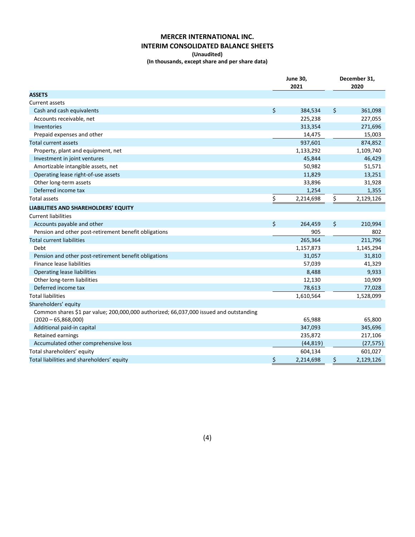## **MERCER INTERNATIONAL INC. INTERIM CONSOLIDATED BALANCE SHEETS**

#### **(Unaudited)**

**(In thousands, except share and per share data)**

|                                                                                        | <b>June 30,</b><br>2021 | December 31,<br>2020 |
|----------------------------------------------------------------------------------------|-------------------------|----------------------|
| <b>ASSETS</b>                                                                          |                         |                      |
| Current assets                                                                         |                         |                      |
| Cash and cash equivalents                                                              | \$<br>384,534           | \$<br>361,098        |
| Accounts receivable, net                                                               | 225,238                 | 227,055              |
| Inventories                                                                            | 313,354                 | 271,696              |
| Prepaid expenses and other                                                             | 14,475                  | 15,003               |
| Total current assets                                                                   | 937,601                 | 874,852              |
| Property, plant and equipment, net                                                     | 1,133,292               | 1,109,740            |
| Investment in joint ventures                                                           | 45,844                  | 46,429               |
| Amortizable intangible assets, net                                                     | 50,982                  | 51,571               |
| Operating lease right-of-use assets                                                    | 11,829                  | 13,251               |
| Other long-term assets                                                                 | 33,896                  | 31,928               |
| Deferred income tax                                                                    | 1,254                   | 1,355                |
| Total assets                                                                           | \$<br>2,214,698         | \$<br>2,129,126      |
|                                                                                        |                         |                      |
| LIABILITIES AND SHAREHOLDERS' EQUITY                                                   |                         |                      |
| <b>Current liabilities</b>                                                             |                         |                      |
| Accounts payable and other                                                             | \$<br>264,459           | \$<br>210,994        |
| Pension and other post-retirement benefit obligations                                  | 905                     | 802                  |
| <b>Total current liabilities</b>                                                       | 265,364                 | 211,796              |
| Debt                                                                                   | 1,157,873               | 1,145,294            |
| Pension and other post-retirement benefit obligations                                  | 31,057                  | 31,810               |
| Finance lease liabilities                                                              | 57,039                  | 41,329               |
| <b>Operating lease liabilities</b>                                                     | 8,488                   | 9,933                |
| Other long-term liabilities                                                            | 12,130                  | 10,909               |
| Deferred income tax                                                                    | 78,613                  | 77,028               |
| <b>Total liabilities</b>                                                               | 1,610,564               | 1,528,099            |
| Shareholders' equity                                                                   |                         |                      |
| Common shares \$1 par value; 200,000,000 authorized; 66,037,000 issued and outstanding |                         |                      |
| $(2020 - 65, 868, 000)$                                                                | 65,988                  | 65,800               |
| Additional paid-in capital                                                             | 347,093                 | 345,696              |
| <b>Retained earnings</b>                                                               | 235,872                 | 217,106              |
| Accumulated other comprehensive loss                                                   | (44, 819)               | (27, 575)            |
| Total shareholders' equity                                                             | 604,134                 | 601,027              |
| Total liabilities and shareholders' equity                                             | \$<br>2,214,698         | \$<br>2,129,126      |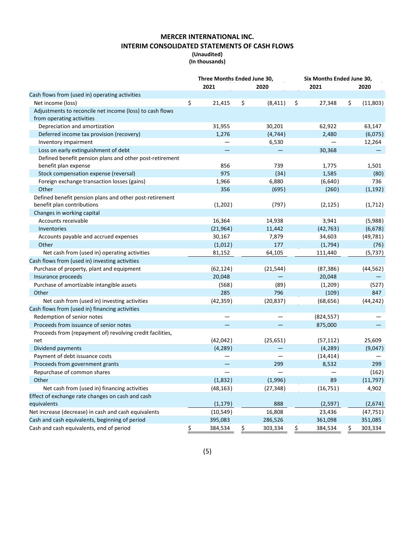## **MERCER INTERNATIONAL INC. INTERIM CONSOLIDATED STATEMENTS OF CASH FLOWS**

#### **(Unaudited) (In thousands)**

|                                                                                       | Three Months Ended June 30, |    |           |    | Six Months Ended June 30, |                |  |  |
|---------------------------------------------------------------------------------------|-----------------------------|----|-----------|----|---------------------------|----------------|--|--|
|                                                                                       | 2021                        |    | 2020      |    | 2021                      | 2020           |  |  |
| Cash flows from (used in) operating activities                                        |                             |    |           |    |                           |                |  |  |
| Net income (loss)                                                                     | \$<br>21,415                | \$ | (8, 411)  | \$ | 27,348                    | \$<br>(11,803) |  |  |
| Adjustments to reconcile net income (loss) to cash flows<br>from operating activities |                             |    |           |    |                           |                |  |  |
| Depreciation and amortization                                                         | 31,955                      |    | 30,201    |    | 62,922                    | 63,147         |  |  |
| Deferred income tax provision (recovery)                                              | 1,276                       |    | (4, 744)  |    | 2,480                     | (6,075)        |  |  |
| Inventory impairment                                                                  |                             |    | 6,530     |    |                           | 12,264         |  |  |
| Loss on early extinguishment of debt                                                  |                             |    |           |    | 30,368                    |                |  |  |
| Defined benefit pension plans and other post-retirement                               |                             |    |           |    |                           |                |  |  |
| benefit plan expense                                                                  | 856                         |    | 739       |    | 1,775                     | 1,501          |  |  |
| Stock compensation expense (reversal)                                                 | 975                         |    | (34)      |    | 1,585                     | (80)           |  |  |
| Foreign exchange transaction losses (gains)                                           | 1,966                       |    | 6,880     |    | (6,640)                   | 736            |  |  |
| Other                                                                                 | 356                         |    | (695)     |    | (260)                     | (1, 192)       |  |  |
| Defined benefit pension plans and other post-retirement                               |                             |    |           |    |                           |                |  |  |
| benefit plan contributions                                                            | (1, 202)                    |    | (797)     |    | (2, 125)                  | (1, 712)       |  |  |
| Changes in working capital                                                            |                             |    |           |    |                           |                |  |  |
| Accounts receivable                                                                   | 16,364                      |    | 14,938    |    | 3,941                     | (5,988)        |  |  |
| Inventories                                                                           | (21, 964)                   |    | 11,442    |    | (42, 763)                 | (6,678)        |  |  |
| Accounts payable and accrued expenses                                                 | 30,167                      |    | 7,879     |    | 34,603                    | (49, 781)      |  |  |
| Other                                                                                 | (1,012)                     |    | 177       |    | (1,794)                   | (76)           |  |  |
| Net cash from (used in) operating activities                                          | 81,152                      |    | 64,105    |    | 111,440                   | (5, 737)       |  |  |
| Cash flows from (used in) investing activities                                        |                             |    |           |    |                           |                |  |  |
| Purchase of property, plant and equipment                                             | (62, 124)                   |    | (21, 544) |    | (87, 386)                 | (44, 562)      |  |  |
| Insurance proceeds                                                                    | 20,048                      |    |           |    | 20,048                    |                |  |  |
| Purchase of amortizable intangible assets                                             | (568)                       |    | (89)      |    | (1,209)                   | (527)          |  |  |
| Other                                                                                 | 285                         |    | 796       |    | (109)                     | 847            |  |  |
| Net cash from (used in) investing activities                                          | (42, 359)                   |    | (20, 837) |    | (68, 656)                 | (44, 242)      |  |  |
| Cash flows from (used in) financing activities                                        |                             |    |           |    |                           |                |  |  |
| Redemption of senior notes                                                            |                             |    |           |    | (824, 557)                |                |  |  |
| Proceeds from issuance of senior notes                                                |                             |    |           |    | 875,000                   |                |  |  |
| Proceeds from (repayment of) revolving credit facilities,                             |                             |    |           |    |                           |                |  |  |
| net                                                                                   | (42, 042)                   |    | (25, 651) |    | (57, 112)                 | 25,609         |  |  |
| Dividend payments                                                                     | (4, 289)                    |    |           |    | (4, 289)                  | (9,047)        |  |  |
| Payment of debt issuance costs                                                        |                             |    |           |    | (14, 414)                 |                |  |  |
| Proceeds from government grants                                                       |                             |    | 299       |    | 8,532                     | 299            |  |  |
| Repurchase of common shares                                                           |                             |    |           |    |                           | (162)          |  |  |
| Other                                                                                 | (1,832)                     |    | (1,996)   |    | 89                        | (11, 797)      |  |  |
| Net cash from (used in) financing activities                                          | (48, 163)                   |    | (27, 348) |    | (16, 751)                 | 4,902          |  |  |
| Effect of exchange rate changes on cash and cash                                      |                             |    |           |    |                           |                |  |  |
| equivalents                                                                           | (1, 179)                    |    | 888       |    | (2, 597)                  | (2,674)        |  |  |
| Net increase (decrease) in cash and cash equivalents                                  | (10, 549)                   |    | 16,808    |    | 23,436                    | (47, 751)      |  |  |
| Cash and cash equivalents, beginning of period                                        | 395,083                     |    | 286,526   |    | 361,098                   | 351,085        |  |  |
| Cash and cash equivalents, end of period                                              | \$<br>384,534               | \$ | 303,334   | \$ | 384,534                   | \$<br>303,334  |  |  |